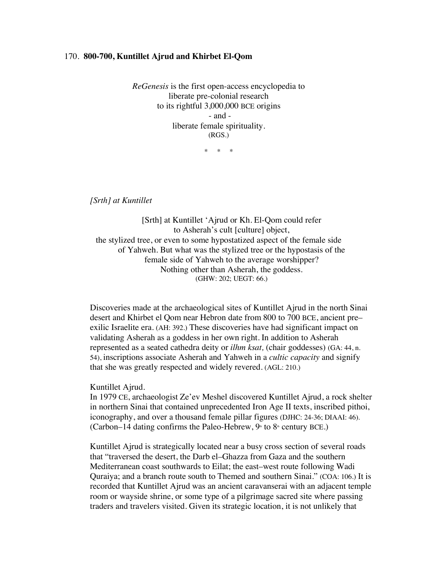## 170. **800-700, Kuntillet Ajrud and Khirbet El-Qom**

*ReGenesis* is the first open-access encyclopedia to liberate pre-colonial research to its rightful 3,000,000 BCE origins - and liberate female spirituality. (RGS.)

\* \* \*

*[Srth] at Kuntillet*

[Srth] at Kuntillet 'Ajrud or Kh. El-Qom could refer to Asherah's cult [culture] object, the stylized tree, or even to some hypostatized aspect of the female side of Yahweh. But what was the stylized tree or the hypostasis of the female side of Yahweh to the average worshipper? Nothing other than Asherah, the goddess. (GHW: 202; UEGT: 66.)

Discoveries made at the archaeological sites of Kuntillet Ajrud in the north Sinai desert and Khirbet el Qom near Hebron date from 800 to 700 BCE, ancient pre– exilic Israelite era. (AH: 392.) These discoveries have had significant impact on validating Asherah as a goddess in her own right. In addition to Asherah represented as a seated cathedra deity or *ilhm ksat,* (chair goddesses) (GA: 44, n. 54), inscriptions associate Asherah and Yahweh in a *cultic capacity* and signify that she was greatly respected and widely revered. (AGL: 210.)

## Kuntillet Ajrud.

In 1979 CE, archaeologist Ze'ev Meshel discovered Kuntillet Ajrud, a rock shelter in northern Sinai that contained unprecedented Iron Age II texts, inscribed pithoi, iconography, and over a thousand female pillar figures (DJHC: 24-36; DIAAI: 46). (Carbon–14 dating confirms the Paleo-Hebrew,  $9$ <sup>th</sup> to  $8$ <sup>th</sup> century BCE.)

Kuntillet Ajrud is strategically located near a busy cross section of several roads that "traversed the desert, the Darb el–Ghazza from Gaza and the southern Mediterranean coast southwards to Eilat; the east–west route following Wadi Quraiya; and a branch route south to Themed and southern Sinai." (COA: 106.) It is recorded that Kuntillet Ajrud was an ancient caravanserai with an adjacent temple room or wayside shrine, or some type of a pilgrimage sacred site where passing traders and travelers visited. Given its strategic location, it is not unlikely that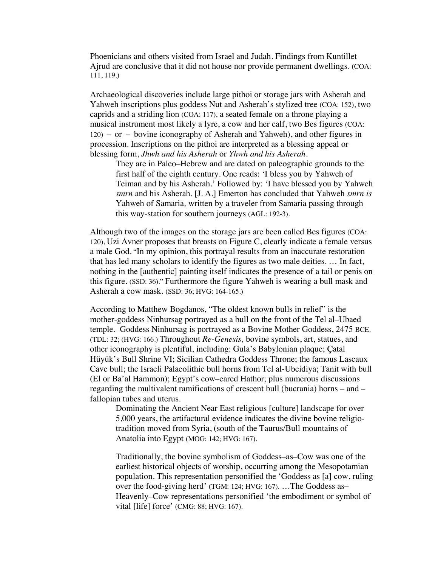Phoenicians and others visited from Israel and Judah. Findings from Kuntillet Ajrud are conclusive that it did not house nor provide permanent dwellings. (COA: 111, 119.)

Archaeological discoveries include large pithoi or storage jars with Asherah and Yahweh inscriptions plus goddess Nut and Asherah's stylized tree (COA: 152), two caprids and a striding lion (COA: 117), a seated female on a throne playing a musical instrument most likely a lyre, a cow and her calf, two Bes figures (COA: 120) – or – bovine iconography of Asherah and Yahweh), and other figures in procession. Inscriptions on the pithoi are interpreted as a blessing appeal or blessing form, *Jhwh and his Asherah* or *Yhwh and his Asherah.*

They are in Paleo–Hebrew and are dated on paleographic grounds to the first half of the eighth century. One reads: 'I bless you by Yahweh of Teiman and by his Asherah.' Followed by: 'I have blessed you by Yahweh *smrn* and his Asherah. [J. A.] Emerton has concluded that Yahweh *smrn is*  Yahweh of Samaria*,* written by a traveler from Samaria passing through this way-station for southern journeys (AGL: 192-3).

Although two of the images on the storage jars are been called Bes figures (COA: 120), Uzi Avner proposes that breasts on Figure C, clearly indicate a female versus a male God. "In my opinion, this portrayal results from an inaccurate restoration that has led many scholars to identify the figures as two male deities. … In fact, nothing in the [authentic] painting itself indicates the presence of a tail or penis on this figure. (SSD: 36)." Furthermore the figure Yahweh is wearing a bull mask and Asherah a cow mask. (SSD: 36; HVG: 164-165.)

According to Matthew Bogdanos, "The oldest known bulls in relief" is the mother-goddess Ninhursag portrayed as a bull on the front of the Tel al–Ubaed temple. Goddess Ninhursag is portrayed as a Bovine Mother Goddess, 2475 BCE. (TDL: 32; (HVG: 166.) Throughout *Re-Genesis,* bovine symbols, art, statues, and other iconography is plentiful, including: Gula's Babylonian plaque; Çatal Hüyük's Bull Shrine VI; Sicilian Cathedra Goddess Throne; the famous Lascaux Cave bull; the Israeli Palaeolithic bull horns from Tel al-Ubeidiya; Tanit with bull (El or Ba'al Hammon); Egypt's cow–eared Hathor; plus numerous discussions regarding the multivalent ramifications of crescent bull (bucrania) horns – and – fallopian tubes and uterus.

Dominating the Ancient Near East religious [culture] landscape for over 5,000 years, the artifactural evidence indicates the divine bovine religiotradition moved from Syria, (south of the Taurus/Bull mountains of Anatolia into Egypt (MOG: 142; HVG: 167).

Traditionally, the bovine symbolism of Goddess–as–Cow was one of the earliest historical objects of worship, occurring among the Mesopotamian population. This representation personified the 'Goddess as [a] cow, ruling over the food-giving herd' (TGM: 124; HVG: 167). …The Goddess as– Heavenly–Cow representations personified 'the embodiment or symbol of vital [life] force' (CMG: 88; HVG: 167).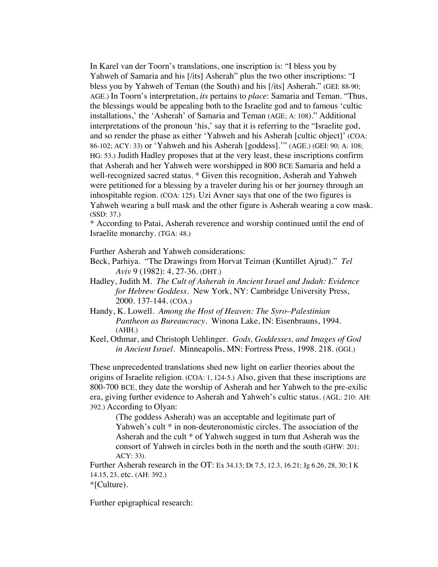In Karel van der Toorn's translations, one inscription is: "I bless you by Yahweh of Samaria and his [/its] Asherah" plus the two other inscriptions: "I bless you by Yahweh of Teman (the South) and his [/its] Asherah." (GEI: 88-90; AGE.) In Toorn's interpretation, *its* pertains to *place*: Samaria and Teman. "Thus, the blessings would be appealing both to the Israelite god and to famous 'cultic installations,' the 'Asherah' of Samaria and Teman (AGE; A: 108)." Additional interpretations of the pronoun 'his,' say that it is referring to the "Israelite god, and so render the phase as either 'Yahweh and his Asherah [cultic object]' (COA: 86-102; ACY: 33) or 'Yahweh and his Asherah [goddess].'" (AGE.) (GEI: 90; A: 108; HG: 53.) Judith Hadley proposes that at the very least, these inscriptions confirm that Asherah and her Yahweh were worshipped in 800 BCE Samaria and held a well-recognized sacred status. \* Given this recognition, Asherah and Yahweh were petitioned for a blessing by a traveler during his or her journey through an inhospitable region. (COA: 125). Uzi Avner says that one of the two figures is Yahweh wearing a bull mask and the other figure is Asherah wearing a cow mask. (SSD: 37.)

\* According to Patai, Asherah reverence and worship continued until the end of Israelite monarchy. (TGA: 48.)

Further Asherah and Yahweh considerations:

Beck, Parhiya. "The Drawings from Horvat Teiman (Kuntillet Ajrud)." *Tel Aviv* 9 (1982): 4, 27-36. (DHT.)

- Hadley, Judith M. *The Cult of Asherah in Ancient Israel and Judah: Evidence for Hebrew Goddess*. New York, NY: Cambridge University Press, 2000. 137-144. (COA.)
- Handy, K. Lowell. *Among the Host of Heaven: The Syro*–*Palestinian Pantheon as Bureaucracy*. Winona Lake, IN: Eisenbrauns, 1994. (AHH.)
- Keel, Othmar, and Christoph Uehlinger. *Gods, Goddesses, and Images of God in Ancient Israel.* Minneapolis, MN: Fortress Press, 1998. 218. (GGI.)

These unprecedented translations shed new light on earlier theories about the origins of Israelite religion. (COA: 1, 124-5.) Also, given that these inscriptions are 800-700 BCE, they date the worship of Asherah and her Yahweh to the pre-exilic era, giving further evidence to Asherah and Yahweh's cultic status. (AGL: 210: AH: 392.) According to Olyan:

(The goddess Asherah) was an acceptable and legitimate part of Yahweh's cult \* in non-deuteronomistic circles. The association of the Asherah and the cult \* of Yahweh suggest in turn that Asherah was the consort of Yahweh in circles both in the north and the south (GHW: 201; ACY: 33).

Further Asherah research in the OT: Ex 34.13; Dt 7.5, 12.3, 16.21; Jg 6.26, 28, 30; I K 14.15, 23, etc. (AH: 392.) \*[Culture).

Further epigraphical research: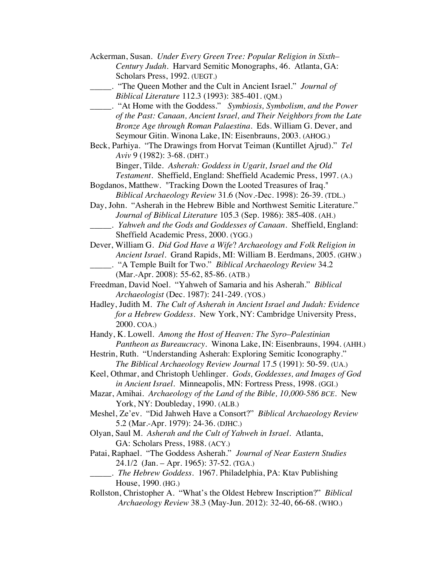| Ackerman, Susan. Under Every Green Tree: Popular Religion in Sixth-         |
|-----------------------------------------------------------------------------|
| Century Judah. Harvard Semitic Monographs, 46. Atlanta, GA:                 |
| Scholars Press, 1992. (UEGT.)                                               |
| "The Queen Mother and the Cult in Ancient Israel." Journal of               |
| Biblical Literature 112.3 (1993): 385-401. (QM.)                            |
|                                                                             |
| of the Past: Canaan, Ancient Israel, and Their Neighbors from the Late      |
| Bronze Age through Roman Palaestina. Eds. William G. Dever, and             |
| Seymour Gitin. Winona Lake, IN: Eisenbrauns, 2003. (AHOG.)                  |
| Beck, Parhiya. "The Drawings from Horvat Teiman (Kuntillet Ajrud)." Tel     |
| Aviv 9 (1982): 3-68. (DHT.)                                                 |
| Binger, Tilde. Asherah: Goddess in Ugarit, Israel and the Old               |
| Testament. Sheffield, England: Sheffield Academic Press, 1997. (A.)         |
| Bogdanos, Matthew. "Tracking Down the Looted Treasures of Iraq."            |
| Biblical Archaeology Review 31.6 (Nov.-Dec. 1998): 26-39. (TDL.)            |
| Day, John. "Asherah in the Hebrew Bible and Northwest Semitic Literature."  |
| Journal of Biblical Literature 105.3 (Sep. 1986): 385-408. (AH.)            |
| __. Yahweh and the Gods and Goddesses of Canaan. Sheffield, England:        |
| Sheffield Academic Press, 2000. (YGG.)                                      |
| Dever, William G. Did God Have a Wife? Archaeology and Folk Religion in     |
| Ancient Israel. Grand Rapids, MI: William B. Eerdmans, 2005. (GHW.)         |
|                                                                             |
| (Mar.-Apr. 2008): 55-62, 85-86. (ATB.)                                      |
| Freedman, David Noel. "Yahweh of Samaria and his Asherah." Biblical         |
| Archaeologist (Dec. 1987): 241-249. (YOS.)                                  |
| Hadley, Judith M. The Cult of Asherah in Ancient Israel and Judah: Evidence |
| for a Hebrew Goddess. New York, NY: Cambridge University Press,             |
| 2000. COA.)                                                                 |
|                                                                             |
| Handy, K. Lowell. Among the Host of Heaven: The Syro-Palestinian            |
| Pantheon as Bureaucracy. Winona Lake, IN: Eisenbrauns, 1994. (AHH.)         |
| Hestrin, Ruth. "Understanding Asherah: Exploring Semitic Iconography."      |
| The Biblical Archaeology Review Journal 17.5 (1991): 50-59. (UA.)           |
| Keel, Othmar, and Christoph Uehlinger. Gods, Goddesses, and Images of God   |
| in Ancient Israel. Minneapolis, MN: Fortress Press, 1998. (GGI.)            |
| Mazar, Amihai. Archaeology of the Land of the Bible, 10,000-586 BCE. New    |
| York, NY: Doubleday, 1990. (ALB.)                                           |
| Meshel, Ze'ev. "Did Jahweh Have a Consort?" Biblical Archaeology Review     |
| 5.2 (Mar.-Apr. 1979): 24-36. (DJHC.)                                        |
| Olyan, Saul M. Asherah and the Cult of Yahweh in Israel. Atlanta,           |
| GA: Scholars Press, 1988. (ACY.)                                            |
| Patai, Raphael. "The Goddess Asherah." Journal of Near Eastern Studies      |
| 24.1/2 (Jan. - Apr. 1965): 37-52. (TGA.)                                    |
| . The Hebrew Goddess. 1967. Philadelphia, PA: Ktav Publishing               |
| House, 1990. (HG.)                                                          |
| Rollston, Christopher A. "What's the Oldest Hebrew Inscription?" Biblical   |
| Archaeology Review 38.3 (May-Jun. 2012): 32-40, 66-68. (WHO.)               |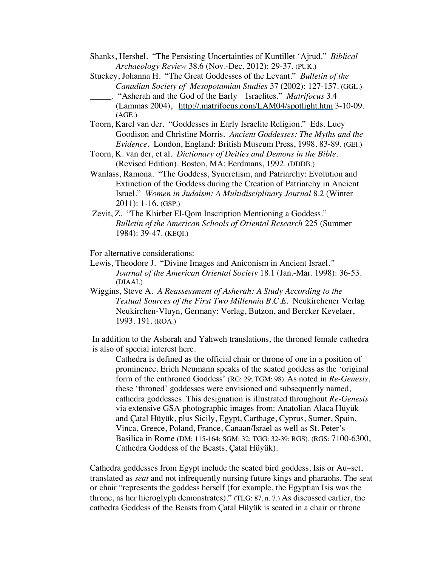Shanks, Hershel. "The Persisting Uncertainties of Kuntillet 'Ajrud." *Biblical Archaeology Review* 38.6 (Nov.-Dec. 2012): 29-37. (PUK.)

Stuckey, Johanna H. "The Great Goddesses of the Levant." *Bulletin of the Canadian Society of Mesopotamian Studies* 37 (2002): 127-157. (GGL.)

- \_\_\_\_\_. "Asherah and the God of the Early Israelites." *Matrifocus* 3.4 (Lammas 2004), http://.matrifocus.com/LAM04/spotlight.htm 3-10-09. (AGE.)
- Toorn, Karel van der. "Goddesses in Early Israelite Religion." Eds. Lucy Goodison and Christine Morris. *Ancient Goddesses: The Myths and the Evidence*. London, England: British Museum Press, 1998. 83-89. (GEI.)
- Toorn, K. van der, et al. *Dictionary of Deities and Demons in the Bible*. (Revised Edition). Boston, MA: Eerdmans, 1992. (DDDB.)
- Wanlass, Ramona. "The Goddess, Syncretism, and Patriarchy: Evolution and Extinction of the Goddess during the Creation of Patriarchy in Ancient Israel." *Women in Judaism: A Multidisciplinary Journal* 8.2 (Winter 2011): 1-16. (GSP.)
- Zevit, Z. "The Khirbet El-Qom Inscription Mentioning a Goddess." *Bulletin of the American Schools of Oriental Research* 225 (Summer 1984): 39-47. (KEQI.)

For alternative considerations:

- Lewis, Theodore J. "Divine Images and Aniconism in Ancient Israel*." Journal of the American Oriental Society* 18.1 (Jan.-Mar. 1998): 36-53. (DIAAI.)
- Wiggins, Steve A. *A Reassessment of Asherah: A Study According to the Textual Sources of the First Two Millennia B.C.E.* Neukirchener Verlag Neukirchen-Vluyn, Germany: Verlag, Butzon, and Bercker Kevelaer, 1993. 191. (ROA.)

In addition to the Asherah and Yahweh translations, the throned female cathedra is also of special interest here.

Cathedra is defined as the official chair or throne of one in a position of prominence. Erich Neumann speaks of the seated goddess as the 'original form of the enthroned Goddess' (RG: 29; TGM: 98). As noted in *Re-Genesis*, these 'throned' goddesses were envisioned and subsequently named, cathedra goddesses. This designation is illustrated throughout *Re-Genesis* via extensive GSA photographic images from: Anatolian Alaca Hüyük and Çatal Hüyük, plus Sicily, Egypt, Carthage, Cyprus, Sumer, Spain, Vinca, Greece, Poland, France, Canaan/Israel as well as St. Peter's Basilica in Rome (DM: 115-164; SGM: 32; TGG: 32-39; RGS). (RGS: 7100-6300, Cathedra Goddess of the Beasts, Çatal Hüyük).

Cathedra goddesses from Egypt include the seated bird goddess, Isis or Au–set, translated as *seat* and not infrequently nursing future kings and pharaohs. The seat or chair "represents the goddess herself (for example, the Egyptian Isis was the throne, as her hieroglyph demonstrates)." (TLG: 87, n. 7.) As discussed earlier, the cathedra Goddess of the Beasts from Çatal Hüyük is seated in a chair or throne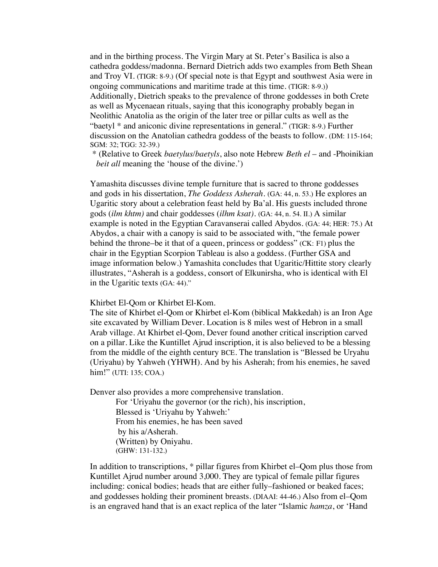and in the birthing process. The Virgin Mary at St. Peter's Basilica is also a cathedra goddess/madonna. Bernard Dietrich adds two examples from Beth Shean and Troy VI. (TIGR: 8-9.) (Of special note is that Egypt and southwest Asia were in ongoing communications and maritime trade at this time. (TIGR: 8-9.)) Additionally, Dietrich speaks to the prevalence of throne goddesses in both Crete as well as Mycenaean rituals, saying that this iconography probably began in Neolithic Anatolia as the origin of the later tree or pillar cults as well as the "baetyl \* and aniconic divine representations in general." (TIGR: 8-9.) Further discussion on the Anatolian cathedra goddess of the beasts to follow. (DM: 115-164; SGM: 32; TGG: 32-39.)

\* (Relative to Greek *baetylus/baetyls*, also note Hebrew *Beth el* – and -Phoinikian *beit all* meaning the 'house of the divine.')

Yamashita discusses divine temple furniture that is sacred to throne goddesses and gods in his dissertation, *The Goddess Asherah*. (GA: 44, n. 53.) He explores an Ugaritic story about a celebration feast held by Ba'al. His guests included throne gods (*ilm khtm)* and chair goddesses (*ilhm ksat).* (GA: 44, n. 54. II.) A similar example is noted in the Egyptian Caravanserai called Abydos. (GA: 44; HER: 75.) At Abydos, a chair with a canopy is said to be associated with, "the female power behind the throne–be it that of a queen, princess or goddess" (CK: F1) plus the chair in the Egyptian Scorpion Tableau is also a goddess. (Further GSA and image information below.) Yamashita concludes that Ugaritic/Hittite story clearly illustrates, "Asherah is a goddess, consort of Elkunirsha, who is identical with El in the Ugaritic texts (GA: 44)."

Khirbet El-Qom or Khirbet El-Kom.

The site of Khirbet el-Qom or Khirbet el-Kom (biblical Makkedah) is an Iron Age site excavated by William Dever. Location is 8 miles west of Hebron in a small Arab village. At Khirbet el-Qom, Dever found another critical inscription carved on a pillar. Like the Kuntillet Ajrud inscription, it is also believed to be a blessing from the middle of the eighth century BCE. The translation is "Blessed be Uryahu (Uriyahu) by Yahweh (YHWH). And by his Asherah; from his enemies, he saved him!" (UTI: 135; COA.)

Denver also provides a more comprehensive translation.

For 'Uriyahu the governor (or the rich), his inscription, Blessed is 'Uriyahu by Yahweh:' From his enemies, he has been saved by his a/Asherah. (Written) by Oniyahu. (GHW: 131-132.)

In addition to transcriptions, \* pillar figures from Khirbet el–Qom plus those from Kuntillet Ajrud number around 3,000. They are typical of female pillar figures including: conical bodies; heads that are either fully–fashioned or beaked faces; and goddesses holding their prominent breasts. (DIAAI: 44-46.) Also from el–Qom is an engraved hand that is an exact replica of the later "Islamic *hamza*, or 'Hand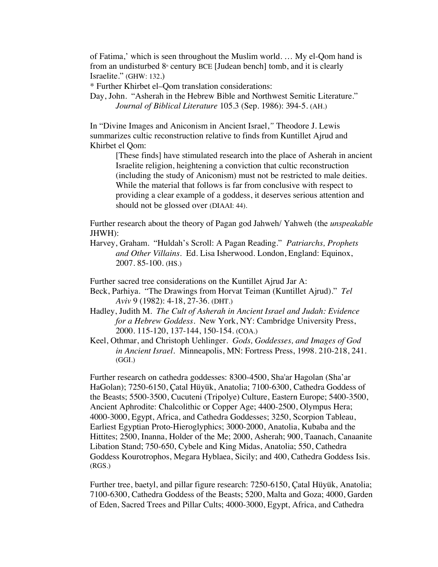of Fatima,' which is seen throughout the Muslim world. … My el-Qom hand is from an undisturbed  $8<sup>*</sup>$  century BCE [Judean bench] tomb, and it is clearly Israelite." (GHW: 132.)

\* Further Khirbet el–Qom translation considerations:

Day, John. "Asherah in the Hebrew Bible and Northwest Semitic Literature." *Journal of Biblical Literature* 105.3 (Sep. 1986): 394-5. (AH.)

In "Divine Images and Aniconism in Ancient Israel,*"* Theodore J. Lewis summarizes cultic reconstruction relative to finds from Kuntillet Ajrud and Khirbet el Qom:

> [These finds] have stimulated research into the place of Asherah in ancient Israelite religion, heightening a conviction that cultic reconstruction (including the study of Aniconism) must not be restricted to male deities. While the material that follows is far from conclusive with respect to providing a clear example of a goddess, it deserves serious attention and should not be glossed over (DIAAI: 44).

Further research about the theory of Pagan god Jahweh/ Yahweh (the *unspeakable* JHWH):

Harvey, Graham. "Huldah's Scroll: A Pagan Reading." *Patriarchs, Prophets and Other Villains*. Ed. Lisa Isherwood. London, England: Equinox, 2007. 85-100. (HS.)

Further sacred tree considerations on the Kuntillet Ajrud Jar A:

- Beck, Parhiya. "The Drawings from Horvat Teiman (Kuntillet Ajrud)." *Tel Aviv* 9 (1982): 4-18, 27-36. (DHT.)
- Hadley, Judith M. *The Cult of Asherah in Ancient Israel and Judah: Evidence for a Hebrew Goddess*. New York, NY: Cambridge University Press, 2000. 115-120, 137-144, 150-154. (COA.)
- Keel, Othmar, and Christoph Uehlinger. *Gods, Goddesses, and Images of God in Ancient Israel.* Minneapolis, MN: Fortress Press, 1998. 210-218, 241. (GGI.)

Further research on cathedra goddesses: 8300-4500, Sha'ar Hagolan (Sha'ar HaGolan); 7250-6150, Çatal Hüyük, Anatolia; 7100-6300, Cathedra Goddess of the Beasts; 5500-3500, Cucuteni (Tripolye) Culture, Eastern Europe; 5400-3500, Ancient Aphrodite: Chalcolithic or Copper Age; 4400-2500, Olympus Hera; 4000-3000, Egypt, Africa, and Cathedra Goddesses; 3250, Scorpion Tableau, Earliest Egyptian Proto-Hieroglyphics; 3000-2000, Anatolia, Kubaba and the Hittites; 2500, Inanna, Holder of the Me; 2000, Asherah; 900, Taanach, Canaanite Libation Stand; 750-650, Cybele and King Midas, Anatolia; 550, Cathedra Goddess Kourotrophos, Megara Hyblaea, Sicily; and 400, Cathedra Goddess Isis. (RGS.)

Further tree, baetyl, and pillar figure research: 7250-6150, Çatal Hüyük, Anatolia; 7100-6300, Cathedra Goddess of the Beasts; 5200, Malta and Goza; 4000, Garden of Eden, Sacred Trees and Pillar Cults; 4000-3000, Egypt, Africa, and Cathedra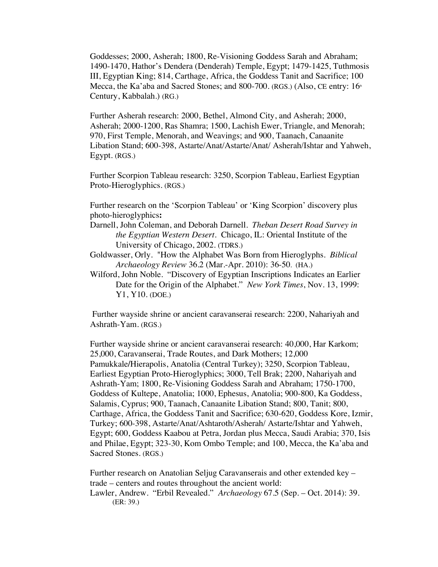Goddesses; 2000, Asherah; 1800, Re-Visioning Goddess Sarah and Abraham; 1490-1470, Hathor's Dendera (Denderah) Temple, Egypt; 1479-1425, Tuthmosis III, Egyptian King; 814, Carthage, Africa, the Goddess Tanit and Sacrifice; 100 Mecca, the Ka'aba and Sacred Stones; and 800-700. (RGS.) (Also, CE entry:  $16<sup>th</sup>$ Century, Kabbalah.) (RG.)

Further Asherah research: 2000, Bethel, Almond City, and Asherah; 2000, Asherah; 2000-1200, Ras Shamra; 1500, Lachish Ewer, Triangle, and Menorah; 970, First Temple, Menorah, and Weavings; and 900, Taanach, Canaanite Libation Stand; 600-398, Astarte/Anat/Astarte/Anat/ Asherah/Ishtar and Yahweh, Egypt. (RGS.)

Further Scorpion Tableau research: 3250, Scorpion Tableau, Earliest Egyptian Proto-Hieroglyphics. (RGS.)

Further research on the 'Scorpion Tableau' or 'King Scorpion' discovery plus photo-hieroglyphics**:**

- Darnell, John Coleman, and Deborah Darnell. *Theban Desert Road Survey in the Egyptian Western Desert.* Chicago, IL: Oriental Institute of the University of Chicago, 2002. (TDRS.)
- Goldwasser, Orly. "How the Alphabet Was Born from Hieroglyphs. *Biblical Archaeology Review* 36.2 (Mar.-Apr. 2010): 36-50. (HA.)
- Wilford, John Noble. "Discovery of Egyptian Inscriptions Indicates an Earlier Date for the Origin of the Alphabet." *New York Times*, Nov. 13, 1999: Y1, Y10. (DOE.)

Further wayside shrine or ancient caravanserai research: 2200, Nahariyah and Ashrath-Yam. (RGS.)

Further wayside shrine or ancient caravanserai research: 40,000, Har Karkom; 25,000, Caravanserai, Trade Routes, and Dark Mothers; 12,000 Pamukkale*/*Hierapolis, Anatolia (Central Turkey); 3250, Scorpion Tableau, Earliest Egyptian Proto-Hieroglyphics; 3000, Tell Brak; 2200, Nahariyah and Ashrath-Yam; 1800, Re-Visioning Goddess Sarah and Abraham; 1750-1700, Goddess of Kultepe, Anatolia; 1000, Ephesus, Anatolia; 900-800, Ka Goddess, Salamis, Cyprus; 900, Taanach, Canaanite Libation Stand; 800, Tanit; 800, Carthage, Africa, the Goddess Tanit and Sacrifice; 630-620, Goddess Kore, Izmir, Turkey; 600-398, Astarte/Anat/Ashtaroth/Asherah/ Astarte/Ishtar and Yahweh, Egypt; 600, Goddess Kaabou at Petra, Jordan plus Mecca, Saudi Arabia; 370, Isis and Philae, Egypt; 323-30, Kom Ombo Temple; and 100, Mecca, the Ka'aba and Sacred Stones. (RGS.)

Further research on Anatolian Seljug Caravanserais and other extended key – trade – centers and routes throughout the ancient world: Lawler, Andrew. "Erbil Revealed." *Archaeology* 67.5 (Sep. – Oct. 2014): 39. (ER: 39.)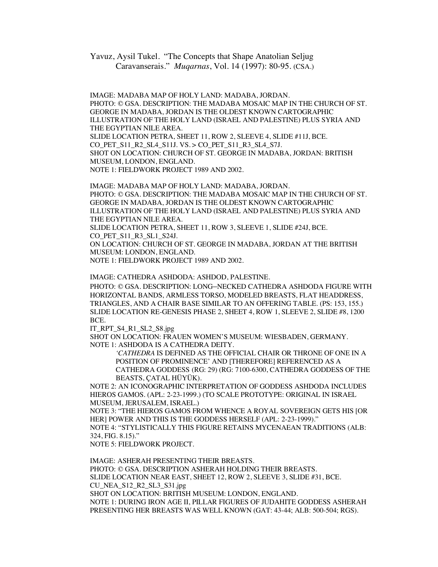Yavuz, Aysil Tukel. "The Concepts that Shape Anatolian Seljug Caravanserais." *Muqarnas*, Vol. 14 (1997): 80-95. (CSA.)

IMAGE: MADABA MAP OF HOLY LAND: MADABA, JORDAN. PHOTO: © GSA. DESCRIPTION: THE MADABA MOSAIC MAP IN THE CHURCH OF ST. GEORGE IN MADABA, JORDAN IS THE OLDEST KNOWN CARTOGRAPHIC ILLUSTRATION OF THE HOLY LAND (ISRAEL AND PALESTINE) PLUS SYRIA AND THE EGYPTIAN NILE AREA. SLIDE LOCATION PETRA, SHEET 11, ROW 2, SLEEVE 4, SLIDE #11J, BCE. CO\_PET\_S11\_R2\_SL4\_S11J. VS. > CO\_PET\_S11\_R3\_SL4\_S7J. SHOT ON LOCATION: CHURCH OF ST. GEORGE IN MADABA, JORDAN: BRITISH MUSEUM, LONDON, ENGLAND.

NOTE 1: FIELDWORK PROJECT 1989 AND 2002.

IMAGE: MADABA MAP OF HOLY LAND: MADABA, JORDAN. PHOTO: © GSA. DESCRIPTION: THE MADABA MOSAIC MAP IN THE CHURCH OF ST. GEORGE IN MADABA, JORDAN IS THE OLDEST KNOWN CARTOGRAPHIC ILLUSTRATION OF THE HOLY LAND (ISRAEL AND PALESTINE) PLUS SYRIA AND THE EGYPTIAN NILE AREA.

SLIDE LOCATION PETRA, SHEET 11, ROW 3, SLEEVE 1, SLIDE #24J, BCE. CO\_PET\_S11\_R3\_SL1\_S24J.

ON LOCATION: CHURCH OF ST. GEORGE IN MADABA, JORDAN AT THE BRITISH MUSEUM: LONDON, ENGLAND.

NOTE 1: FIELDWORK PROJECT 1989 AND 2002.

IMAGE: CATHEDRA ASHDODA: ASHDOD, PALESTINE.

PHOTO: © GSA. DESCRIPTION: LONG–NECKED CATHEDRA ASHDODA FIGURE WITH HORIZONTAL BANDS, ARMLESS TORSO, MODELED BREASTS, FLAT HEADDRESS, TRIANGLES, AND A CHAIR BASE SIMILAR TO AN OFFERING TABLE. (PS: 153, 155.) SLIDE LOCATION RE-GENESIS PHASE 2, SHEET 4, ROW 1, SLEEVE 2, SLIDE #8, 1200 BCE.

IT\_RPT\_S4\_R1\_SL2\_S8.jpg

SHOT ON LOCATION: FRAUEN WOMEN'S MUSEUM: WIESBADEN, GERMANY. NOTE 1: ASHDODA IS A CATHEDRA DEITY.

*'CATHEDRA* IS DEFINED AS THE OFFICIAL CHAIR OR THRONE OF ONE IN A POSITION OF PROMINENCE' AND [THEREFORE] REFERENCED AS A CATHEDRA GODDESS (RG: 29) (RG: 7100-6300, CATHEDRA GODDESS OF THE BEASTS, ÇATAL HÜYÜK).

NOTE 2: AN ICONOGRAPHIC INTERPRETATION OF GODDESS ASHDODA INCLUDES HIEROS GAMOS. (APL: 2-23-1999.) (TO SCALE PROTOTYPE: ORIGINAL IN ISRAEL MUSEUM, JERUSALEM, ISRAEL.)

NOTE 3: "THE HIEROS GAMOS FROM WHENCE A ROYAL SOVEREIGN GETS HIS [OR HER] POWER AND THIS IS THE GODDESS HERSELF (APL: 2-23-1999)."

NOTE 4: "STYLISTICALLY THIS FIGURE RETAINS MYCENAEAN TRADITIONS (ALB: 324, FIG. 8.15)."

NOTE 5: FIELDWORK PROJECT.

IMAGE: ASHERAH PRESENTING THEIR BREASTS. PHOTO: © GSA. DESCRIPTION ASHERAH HOLDING THEIR BREASTS. SLIDE LOCATION NEAR EAST, SHEET 12, ROW 2, SLEEVE 3, SLIDE #31, BCE. CU\_NEA\_S12\_R2\_SL3\_S31.jpg SHOT ON LOCATION: BRITISH MUSEUM: LONDON, ENGLAND. NOTE 1: DURING IRON AGE II, PILLAR FIGURES OF JUDAHITE GODDESS ASHERAH PRESENTING HER BREASTS WAS WELL KNOWN (GAT: 43-44; ALB: 500-504; RGS).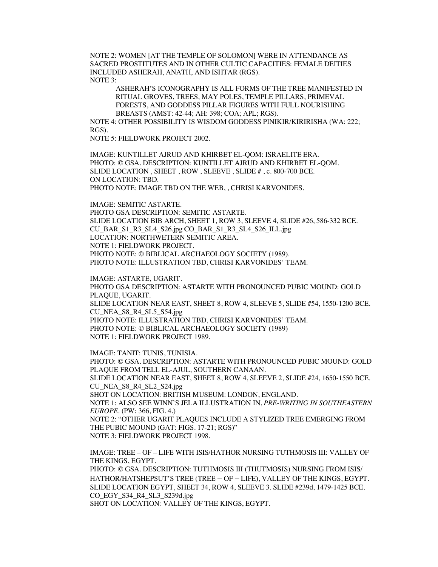NOTE 2: WOMEN [AT THE TEMPLE OF SOLOMON] WERE IN ATTENDANCE AS SACRED PROSTITUTES AND IN OTHER CULTIC CAPACITIES: FEMALE DEITIES INCLUDED ASHERAH, ANATH, AND ISHTAR (RGS). NOTE 3:

ASHERAH'S ICONOGRAPHY IS ALL FORMS OF THE TREE MANIFESTED IN RITUAL GROVES, TREES, MAY POLES, TEMPLE PILLARS, PRIMEVAL FORESTS, AND GODDESS PILLAR FIGURES WITH FULL NOURISHING BREASTS (AMST: 42-44; AH: 398; COA; APL; RGS).

NOTE 4: OTHER POSSIBILITY IS WISDOM GODDESS PINIKIR/KIRIRISHA (WA: 222; RGS).

NOTE 5: FIELDWORK PROJECT 2002.

IMAGE: KUNTILLET AJRUD AND KHIRBET EL-QOM: ISRAELITE ERA. PHOTO: © GSA. DESCRIPTION: KUNTILLET AJRUD AND KHIRBET EL-QOM. SLIDE LOCATION , SHEET , ROW , SLEEVE , SLIDE # , c. 800-700 BCE. ON LOCATION: TBD. PHOTO NOTE: IMAGE TBD ON THE WEB, , CHRISI KARVONIDES.

IMAGE: SEMITIC ASTARTE. PHOTO GSA DESCRIPTION: SEMITIC ASTARTE. SLIDE LOCATION BIB ARCH, SHEET 1, ROW 3, SLEEVE 4, SLIDE #26, 586-332 BCE. CU\_BAR\_S1\_R3\_SL4\_S26.jpg CO\_BAR\_S1\_R3\_SL4\_S26\_ILL.jpg

LOCATION: NORTHWETERN SEMITIC AREA.

NOTE 1: FIELDWORK PROJECT.

PHOTO NOTE: © BIBLICAL ARCHAEOLOGY SOCIETY (1989).

PHOTO NOTE: ILLUSTRATION TBD, CHRISI KARVONIDES' TEAM.

IMAGE: ASTARTE, UGARIT. PHOTO GSA DESCRIPTION: ASTARTE WITH PRONOUNCED PUBIC MOUND: GOLD PLAQUE, UGARIT. SLIDE LOCATION NEAR EAST, SHEET 8, ROW 4, SLEEVE 5, SLIDE #54, 1550-1200 BCE. CU\_NEA\_S8\_R4\_SL5\_S54.jpg PHOTO NOTE: ILLUSTRATION TBD, CHRISI KARVONIDES' TEAM. PHOTO NOTE: © BIBLICAL ARCHAEOLOGY SOCIETY (1989) NOTE 1: FIELDWORK PROJECT 1989.

IMAGE: TANIT: TUNIS, TUNISIA. PHOTO: © GSA. DESCRIPTION: ASTARTE WITH PRONOUNCED PUBIC MOUND: GOLD PLAQUE FROM TELL EL-AJUL, SOUTHERN CANAAN. SLIDE LOCATION NEAR EAST, SHEET 8, ROW 4, SLEEVE 2, SLIDE #24, 1650-1550 BCE. CU\_NEA\_S8\_R4\_SL2\_S24.jpg SHOT ON LOCATION: BRITISH MUSEUM: LONDON, ENGLAND. NOTE 1: ALSO SEE WINN'S JELA ILLUSTRATION IN, *PRE-WRITING IN SOUTHEASTERN EUROPE*. (PW: 366, FIG. 4.) NOTE 2: "OTHER UGARIT PLAQUES INCLUDE A STYLIZED TREE EMERGING FROM THE PUBIC MOUND (GAT: FIGS. 17-21; RGS)" NOTE 3: FIELDWORK PROJECT 1998.

IMAGE: TREE – OF – LIFE WITH ISIS/HATHOR NURSING TUTHMOSIS III: VALLEY OF THE KINGS, EGYPT. PHOTO: © GSA. DESCRIPTION: TUTHMOSIS III (THUTMOSIS) NURSING FROM ISIS/ HATHOR/HATSHEPSUT'S TREE (TREE – OF – LIFE), VALLEY OF THE KINGS, EGYPT. SLIDE LOCATION EGYPT, SHEET 34, ROW 4, SLEEVE 3. SLIDE #239d, 1479-1425 BCE. CO\_EGY\_S34\_R4\_SL3\_S239d.jpg SHOT ON LOCATION: VALLEY OF THE KINGS, EGYPT.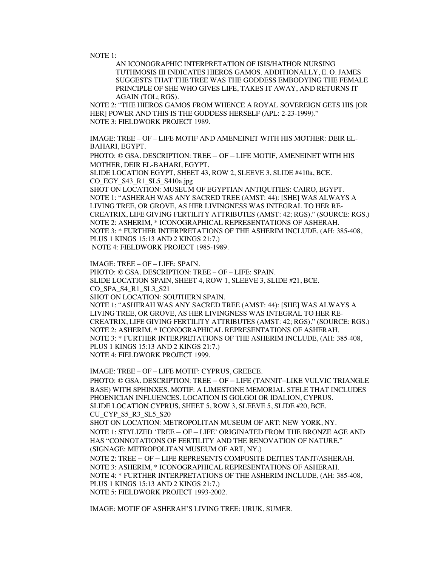NOTE 1:

AN ICONOGRAPHIC INTERPRETATION OF ISIS/HATHOR NURSING TUTHMOSIS III INDICATES HIEROS GAMOS. ADDITIONALLY, E. O. JAMES SUGGESTS THAT THE TREE WAS THE GODDESS EMBODYING THE FEMALE PRINCIPLE OF SHE WHO GIVES LIFE, TAKES IT AWAY, AND RETURNS IT AGAIN (TOL; RGS).

NOTE 2: "THE HIEROS GAMOS FROM WHENCE A ROYAL SOVEREIGN GETS HIS [OR HER] POWER AND THIS IS THE GODDESS HERSELF (APL: 2-23-1999)." NOTE 3: FIELDWORK PROJECT 1989.

IMAGE: TREE – OF – LIFE MOTIF AND AMENEINET WITH HIS MOTHER: DEIR EL-BAHARI, EGYPT.

PHOTO: © GSA. DESCRIPTION: TREE – OF – LIFE MOTIF, AMENEINET WITH HIS MOTHER, DEIR EL-BAHARI, EGYPT.

SLIDE LOCATION EGYPT, SHEET 43, ROW 2, SLEEVE 3, SLIDE #410a, BCE. CO\_EGY\_S43\_R1\_SL5\_S410a.jpg

SHOT ON LOCATION: MUSEUM OF EGYPTIAN ANTIQUITIES: CAIRO, EGYPT. NOTE 1: "ASHERAH WAS ANY SACRED TREE (AMST: 44): [SHE] WAS ALWAYS A LIVING TREE, OR GROVE, AS HER LIVINGNESS WAS INTEGRAL TO HER RE-CREATRIX, LIFE GIVING FERTILITY ATTRIBUTES (AMST: 42; RGS)." (SOURCE: RGS.) NOTE 2: ASHERIM, \* ICONOGRAPHICAL REPRESENTATIONS OF ASHERAH. NOTE 3: \* FURTHER INTERPRETATIONS OF THE ASHERIM INCLUDE, (AH: 385-408, PLUS 1 KINGS 15:13 AND 2 KINGS 21:7.) NOTE 4: FIELDWORK PROJECT 1985-1989.

IMAGE: TREE – OF – LIFE: SPAIN. PHOTO: © GSA. DESCRIPTION: TREE – OF – LIFE: SPAIN. SLIDE LOCATION SPAIN, SHEET 4, ROW 1, SLEEVE 3, SLIDE #21, BCE. CO\_SPA\_S4\_R1\_SL3\_S21 SHOT ON LOCATION: SOUTHERN SPAIN. NOTE 1: "ASHERAH WAS ANY SACRED TREE (AMST: 44): [SHE] WAS ALWAYS A LIVING TREE, OR GROVE, AS HER LIVINGNESS WAS INTEGRAL TO HER RE-CREATRIX, LIFE GIVING FERTILITY ATTRIBUTES (AMST: 42; RGS)." (SOURCE: RGS.) NOTE 2: ASHERIM, \* ICONOGRAPHICAL REPRESENTATIONS OF ASHERAH. NOTE 3: \* FURTHER INTERPRETATIONS OF THE ASHERIM INCLUDE, (AH: 385-408, PLUS 1 KINGS 15:13 AND 2 KINGS 21:7.) NOTE 4: FIELDWORK PROJECT 1999.

IMAGE: TREE – OF – LIFE MOTIF: CYPRUS, GREECE. PHOTO: © GSA. DESCRIPTION: TREE – OF – LIFE (TANNIT–LIKE VULVIC TRIANGLE BASE) WITH SPHINXES. MOTIF: A LIMESTONE MEMORIAL STELE THAT INCLUDES PHOENICIAN INFLUENCES. LOCATION IS GOLGOI OR IDALION, CYPRUS. SLIDE LOCATION CYPRUS, SHEET 5, ROW 3, SLEEVE 5, SLIDE #20, BCE. CU\_CYP\_S5\_R3\_SL5\_S20 SHOT ON LOCATION: METROPOLITAN MUSEUM OF ART: NEW YORK, NY. NOTE 1: STYLIZED 'TREE – OF – LIFE' ORIGINATED FROM THE BRONZE AGE AND HAS "CONNOTATIONS OF FERTILITY AND THE RENOVATION OF NATURE." (SIGNAGE: METROPOLITAN MUSEUM OF ART, NY.) NOTE 2: TREE – OF – LIFE REPRESENTS COMPOSITE DEITIES TANIT/ASHERAH. NOTE 3: ASHERIM, \* ICONOGRAPHICAL REPRESENTATIONS OF ASHERAH. NOTE 4: \* FURTHER INTERPRETATIONS OF THE ASHERIM INCLUDE, (AH: 385-408, PLUS 1 KINGS 15:13 AND 2 KINGS 21:7.) NOTE 5: FIELDWORK PROJECT 1993-2002.

IMAGE: MOTIF OF ASHERAH'S LIVING TREE: URUK, SUMER.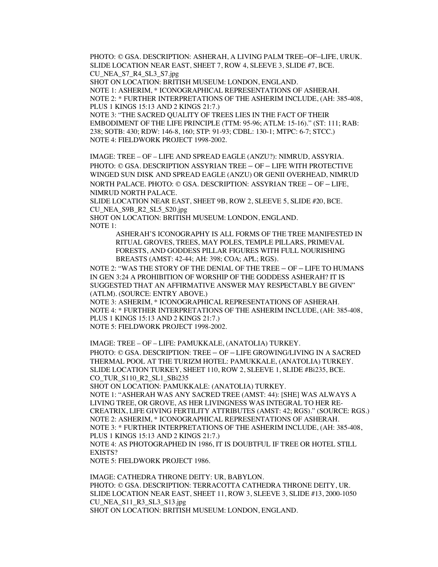PHOTO: © GSA. DESCRIPTION: ASHERAH, A LIVING PALM TREE–OF–LIFE, URUK. SLIDE LOCATION NEAR EAST, SHEET 7, ROW 4, SLEEVE 3, SLIDE #7, BCE. CU\_NEA\_S7\_R4\_SL3\_S7.jpg

SHOT ON LOCATION: BRITISH MUSEUM: LONDON, ENGLAND.

NOTE 1: ASHERIM, \* ICONOGRAPHICAL REPRESENTATIONS OF ASHERAH. NOTE 2: \* FURTHER INTERPRETATIONS OF THE ASHERIM INCLUDE, (AH: 385-408, PLUS 1 KINGS 15:13 AND 2 KINGS 21:7.)

NOTE 3: "THE SACRED QUALITY OF TREES LIES IN THE FACT OF THEIR EMBODIMENT OF THE LIFE PRINCIPLE (TTM: 95-96; ATLM: 15-16)." (ST: 111; RAB: 238; SOTB: 430; RDW: 146-8, 160; STP: 91-93; CDBL: 130-1; MTPC: 6-7; STCC.) NOTE 4: FIELDWORK PROJECT 1998-2002.

IMAGE: TREE – OF – LIFE AND SPREAD EAGLE (ANZU?): NIMRUD, ASSYRIA. PHOTO: © GSA. DESCRIPTION ASSYRIAN TREE – OF – LIFE WITH PROTECTIVE WINGED SUN DISK AND SPREAD EAGLE (ANZU) OR GENII OVERHEAD, NIMRUD NORTH PALACE. PHOTO: © GSA. DESCRIPTION: ASSYRIAN TREE – OF – LIFE, NIMRUD NORTH PALACE.

SLIDE LOCATION NEAR EAST, SHEET 9B, ROW 2, SLEEVE 5, SLIDE #20, BCE. CU\_NEA\_S9B\_R2\_SL5\_S20.jpg

SHOT ON LOCATION: BRITISH MUSEUM: LONDON, ENGLAND. NOTE 1:

ASHERAH'S ICONOGRAPHY IS ALL FORMS OF THE TREE MANIFESTED IN RITUAL GROVES, TREES, MAY POLES, TEMPLE PILLARS, PRIMEVAL FORESTS, AND GODDESS PILLAR FIGURES WITH FULL NOURISHING BREASTS (AMST: 42-44; AH: 398; COA; APL; RGS).

NOTE 2: "WAS THE STORY OF THE DENIAL OF THE TREE – OF – LIFE TO HUMANS IN GEN 3:24 A PROHIBITION OF WORSHIP OF THE GODDESS ASHERAH? IT IS SUGGESTED THAT AN AFFIRMATIVE ANSWER MAY RESPECTABLY BE GIVEN" (ATLM). (SOURCE: ENTRY ABOVE.)

NOTE 3: ASHERIM, \* ICONOGRAPHICAL REPRESENTATIONS OF ASHERAH. NOTE 4: \* FURTHER INTERPRETATIONS OF THE ASHERIM INCLUDE, (AH: 385-408, PLUS 1 KINGS 15:13 AND 2 KINGS 21:7.)

NOTE 5: FIELDWORK PROJECT 1998-2002.

IMAGE: TREE – OF – LIFE: PAMUKKALE, (ANATOLIA) TURKEY.

PHOTO: © GSA. DESCRIPTION: TREE – OF – LIFE GROWING/LIVING IN A SACRED THERMAL POOL AT THE TURIZM HOTEL: PAMUKKALE, (ANATOLIA) TURKEY. SLIDE LOCATION TURKEY, SHEET 110, ROW 2, SLEEVE 1, SLIDE #Bi235, BCE. CO\_TUR\_S110\_R2\_SL1\_SBi235

SHOT ON LOCATION: PAMUKKALE: (ANATOLIA) TURKEY.

NOTE 1: "ASHERAH WAS ANY SACRED TREE (AMST: 44): [SHE] WAS ALWAYS A LIVING TREE, OR GROVE, AS HER LIVINGNESS WAS INTEGRAL TO HER RE-CREATRIX, LIFE GIVING FERTILITY ATTRIBUTES (AMST: 42; RGS)." (SOURCE: RGS.) NOTE 2: ASHERIM, \* ICONOGRAPHICAL REPRESENTATIONS OF ASHERAH. NOTE 3: \* FURTHER INTERPRETATIONS OF THE ASHERIM INCLUDE, (AH: 385-408, PLUS 1 KINGS 15:13 AND 2 KINGS 21:7.)

NOTE 4: AS PHOTOGRAPHED IN 1986, IT IS DOUBTFUL IF TREE OR HOTEL STILL EXISTS?

NOTE 5: FIELDWORK PROJECT 1986.

IMAGE: CATHEDRA THRONE DEITY: UR, BABYLON. PHOTO: © GSA. DESCRIPTION: TERRACOTTA CATHEDRA THRONE DEITY, UR. SLIDE LOCATION NEAR EAST, SHEET 11, ROW 3, SLEEVE 3, SLIDE #13, 2000-1050 CU\_NEA\_S11\_R3\_SL3\_S13.jpg SHOT ON LOCATION: BRITISH MUSEUM: LONDON, ENGLAND.